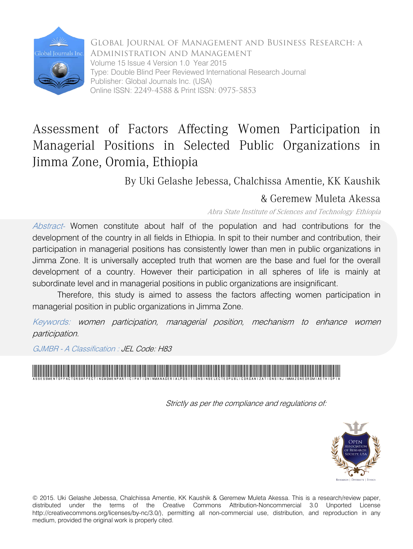

Global Journal of Management and Business Research: A Administration and Management Volume 15 Issue 4 Version 1.0 Year 2015 Type: Double Blind Peer Reviewed International Research Journal Publisher: Global Journals Inc. (USA) Online ISSN: 2249-4588 & Print ISSN: 0975-5853

## Assessment of Factors Affecting Women Participation in Managerial Positions in Selected Public Organizations in Jimma Zone, Oromia, Ethiopia

By Uki Gelashe Jebessa, Chalchissa Amentie, KK Kaushik

### & Geremew Muleta Akessa

Abra State Institute of Sciences and Technology, Ethiopia

Abstract- Women constitute about half of the population and had contributions for the development of the country in all fields in Ethiopia. In spit to their number and contribution, their participation in managerial positions has consistently lower than men in public organizations in Jimma Zone. It is universally accepted truth that women are the base and fuel for the overall development of a country. However their participation in all spheres of life is mainly at subordinate level and in managerial positions in public organizations are insignificant.

Therefore, this study is aimed to assess the factors affecting women participation in managerial position in public organizations in Jimma Zone.

Keywords: women participation, managerial position, mechanism to enhance women participation.

GJMBR - A Classification : JEL Code: H83

AssessmentofFactorsAffectingWomenParticipationinManagerialPositionsinSelectedPublicOrganizationsinJimmaZoneOromiaEthiopia

Strictly as per the compliance and regulations of:



© 2015. Uki Gelashe Jebessa, Chalchissa Amentie, KK Kaushik & Geremew Muleta Akessa. This is a research/review paper, distributed under the terms of the Creative Commons Attribution-Noncommercial 3.0 Unported License http://creativecommons.org/licenses/by-nc/3.0/), permitting all non-commercial use, distribution, and reproduction in any medium, provided the original work is properly cited.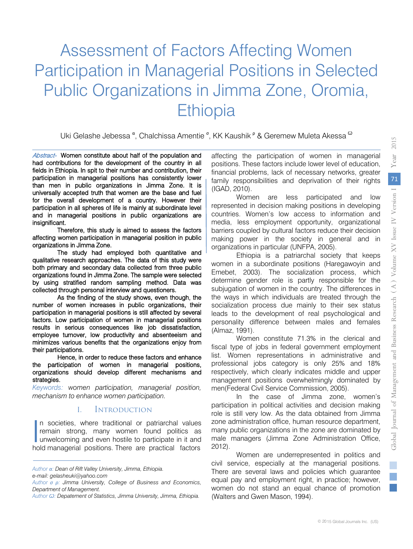# Assessment of Factors Affecting Women Participation in Managerial Positions in Selected Public Organizations in Jimma Zone, Oromia, **Ethiopia**

Uki Gelashe Jebessa <sup>α</sup>, Chalchissa Amentie <sup>σ</sup>, KK Kaushik <sup>ρ</sup> & Geremew Muleta Akessa <sup>ω</sup>

Abstract- Women constitute about half of the population and had contributions for the development of the country in all fields in Ethiopia. In spit to their number and contribution, their participation in managerial positions has consistently lower than men in public organizations in Jimma Zone. It is universally accepted truth that women are the base and fuel for the overall development of a country. However their participation in all spheres of life is mainly at subordinate level and in managerial positions in public organizations are insignificant.

Therefore, this study is aimed to assess the factors affecting women participation in managerial position in public organizations in Jimma Zone.

The study had employed both quantitative and qualitative research approaches. The data of this study were both primary and secondary data collected from three public organizations found in Jimma Zone. The sample were selected by using stratified random sampling method. Data was collected through personal interview and questioners.

As the finding of the study shows, even though, the number of women increases in public organizations, their participation in managerial positions is still affected by several factors. Low participation of women in managerial positions results in serious consequences like job dissatisfaction, employee turnover, low productivity and absenteeism and minimizes various benefits that the organizations enjoy from their participations.

Hence, in order to reduce these factors and enhance the participation of women in managerial positions, organizations should develop different mechanisms and strategies.

*Keywords: women participation, managerial position, mechanism to enhance women participation.*

#### I. Introduction

n societies, where traditional or patriarchal values remain strong, many women found politics as unwelcoming and even hostile to participate in it and hold managerial positions. There are practical factors  $\int_{\text{cm}}^{\text{n}}$  rem

affecting the participation of women in managerial positions. These factors include lower level of education, financial problems, lack of necessary networks, greater family responsibilities and deprivation of their rights (IGAD, 2010).

Women are less participated and low represented in decision making positions in developing countries. Women's low access to information and media, less employment opportunity, organizational barriers coupled by cultural factors reduce their decision making power in the society in general and in organizations in particular (UNFPA, 2005).

Ethiopia is a patriarchal society that keeps women in a subordinate positions (Haregawoyin and Emebet, 2003). The socialization process, which determine gender role is partly responsible for the subjugation of women in the country. The differences in the ways in which individuals are treated through the socialization process due mainly to their sex status leads to the development of real psychological and personality difference between males and females (Almaz, 1991).

Women constitute 71.3% in the clerical and fiscal type of jobs in federal government employment list. Women representations in administrative and professional jobs category is only 25% and 18% respectively, which clearly indicates middle and upper management positions overwhelmingly dominated by men(Federal Civil Service Commission, 2005).

In the case of Jimma zone, women's participation in political activities and decision making role is still very low. As the data obtained from Jimma zone administration office, human resource department, many public organizations in the zone are dominated by male managers (Jimma Zone Administration Office, 2012).

Women are underrepresented in politics and civil service, especially at the managerial positions. There are several laws and policies which guarantee equal pay and employment right, in practice; however, women do not stand an equal chance of promotion (Walters and Gwen Mason, 1994).

2015

*Author α: Dean of Rift Valley University, Jimma, Ethiopia.*

*e-mail: gelasheuki@yahoo.com*

*Author σ ρ: Jimma University, College of Business and Economics, Department of Management.* 

*Author Ѡ: Depatement of Statistics, Jimma University, Jimma, Ethiopia.*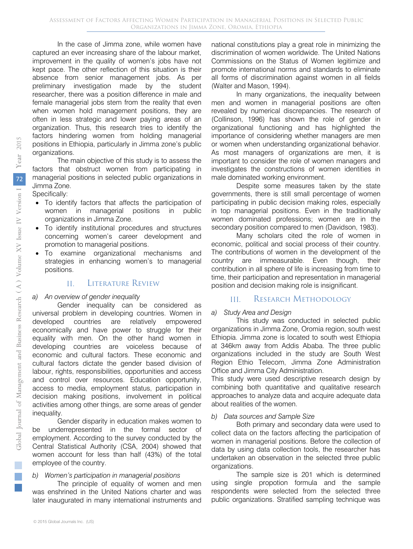In the case of Jimma zone, while women have captured an ever increasing share of the labour market, improvement in the quality of women's jobs have not kept pace. The other reflection of this situation is their absence from senior management jobs. As per preliminary investigation made by the student researcher, there was a position difference in male and female managerial jobs stem from the reality that even when women hold management positions, they are often in less strategic and lower paying areas of an organization. Thus, this research tries to identify the factors hindering women from holding managerial positions in Ethiopia, particularly in Jimma zone's public organizations.

The main objective of this study is to assess the factors that obstruct women from participating in managerial positions in selected public organizations in Jimma Zone.

Specifically:

- To identify factors that affects the participation of women in managerial positions in public organizations in Jimma Zone.
- To identify institutional procedures and structures concerning women's career development and promotion to managerial positions.
- To examine organizational mechanisms and strategies in enhancing women's to managerial positions.

#### II. Literature Review

#### *a) An overview of gender inequality*

Gender inequality can be considered as universal problem in developing countries. Women in developed countries are relatively empowered economically and have power to struggle for their equality with men. On the other hand women in developing countries are voiceless because of economic and cultural factors. These economic and cultural factors dictate the gender based division of labour, rights, responsibilities, opportunities and access and control over resources. Education opportunity, access to media, employment status, participation in decision making positions, involvement in political activities among other things, are some areas of gender inequality.

Gender disparity in education makes women to be underrepresented in the formal sector of employment. According to the survey conducted by the Central Statistical Authority (CSA, 2004) showed that women account for less than half (43%) of the total employee of the country.

#### *b) Women's participation in managerial positions*

The principle of equality of women and men was enshrined in the United Nations charter and was later inaugurated in many international instruments and national constitutions play a great role in minimizing the discrimination of women worldwide. The United Nations Commissions on the Status of Women legitimize and promote international norms and standards to eliminate all forms of discrimination against women in all fields (Walter and Mason, 1994).

In many organizations, the inequality between men and women in managerial positions are often revealed by numerical discrepancies. The research of (Collinson, 1996) has shown the role of gender in organizational functioning and has highlighted the importance of considering whether managers are men or women when understanding organizational behavior. As most managers of organizations are men, it is important to consider the role of women managers and investigates the constructions of women identities in male dominated working environment.

Despite some measures taken by the state governments, there is still small percentage of women participating in public decision making roles, especially in top managerial positions. Even in the traditionally women dominated professions; women are in the secondary position compared to men (Davidson, 1983).

Many scholars cited the role of women in economic, political and social process of their country. The contributions of women in the development of the country are immeasurable. Even though, their contribution in all sphere of life is increasing from time to time, their participation and representation in managerial position and decision making role is insignificant.

#### III. RESEARCH METHODOLOGY

#### *a) Study Area and Design*

This study was conducted in selected public organizations in Jimma Zone, Oromia region, south west Ethiopia. Jimma zone is located to south west Ethiopia at 346km away from Addis Ababa. The three public organizations included in the study are South West Region Ethio Telecom, Jimma Zone Administration Office and Jimma City Administration.

This study were used descriptive research design by combining both quantitative and qualitative research approaches to analyze data and acquire adequate data about realities of the women.

#### *b) Data sources and Sample Size*

Both primary and secondary data were used to collect data on the factors affecting the participation of women in managerial positions. Before the collection of data by using data collection tools, the researcher has undertaken an observation in the selected three public organizations.

The sample size is 201 which is determined using single propotion formula and the sample respondents were selected from the selected three public organizations. Stratified sampling technique was

 $\mathbb{R}^3$  $\mathbb{R}^n$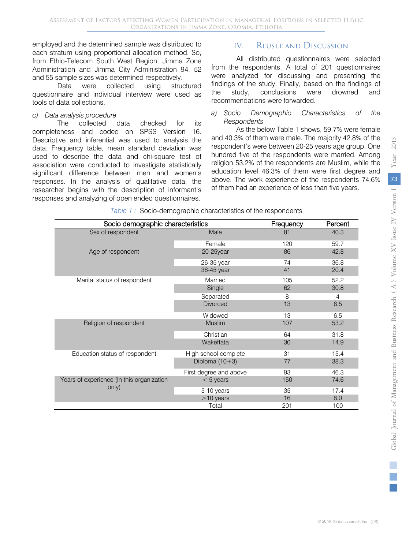employed and the determined sample was distributed to each stratum using proportional allocation method. So, from Ethio-Telecom South West Region, Jimma Zone Administration and Jimma City Administration 94, 52 and 55 sample sizes was determined respectively.

Data were collected using structured questionnaire and individual interview were used as tools of data collections.

#### *c) Data analysis procedure*

The collected data checked for its completeness and coded on SPSS Version 16. Descriptive and inferential was used to analysis the data. Frequency table, mean standard deviation was used to describe the data and chi-square test of association were conducted to investigate statistically significant difference between men and women's responses. In the analysis of qualitative data, the researcher begins with the description of informant's responses and analyzing of open ended questionnaires.

#### IV. REUSLT AND DISCUSSION

All distributed questionnaires were selected from the respondents. A total of 201 questionnaires were analyzed for discussing and presenting the findings of the study. Finally, based on the findings of the study, conclusions were drowned and recommendations were forwarded.

#### *a) Socio Demographic Characteristics of the Respondents*

As the below Table 1 shows, 59.7% were female and 40.3% of them were male. The majority 42.8% of the respondent's were between 20-25 years age group. One hundred five of the respondents were married. Among religion 53.2% of the respondents are Muslim, while the education level 46.3% of them were first degree and above. The work experience of the respondents 74.6% of them had an experience of less than five years.

| Table 1: Socio-demographic characteristics of the respondents |  |
|---------------------------------------------------------------|--|

| Socio demographic characteristics         |                        | Frequency | Percent |
|-------------------------------------------|------------------------|-----------|---------|
| Sex of respondent                         | Male                   | 81        | 40.3    |
|                                           | Female                 | 120       | 59.7    |
| Age of respondent                         | 20-25year              | 86        | 42.8    |
|                                           | 26-35 year             | 74        | 36.8    |
|                                           | 36-45 year             | 41        | 20.4    |
| Marital status of respondent              | Married                | 105       | 52.2    |
|                                           | Single                 | 62        | 30.8    |
|                                           | Separated              | 8         | 4       |
|                                           | <b>Divorced</b>        | 13        | 6.5     |
|                                           | Widowed                | 13        | 6.5     |
| Religion of respondent                    | <b>Muslim</b>          | 107       | 53.2    |
|                                           | Christian              | 64        | 31.8    |
|                                           | Wakeffata              | 30        | 14.9    |
| Education status of respondent            | High school complete   | 31        | 15.4    |
|                                           | Diploma $(10+3)$       | 77        | 38.3    |
|                                           | First degree and above | 93        | 46.3    |
| Years of experience (In this organization | $< 5$ years            | 150       | 74.6    |
| only)                                     | 5-10 years             | 35        | 17.4    |
|                                           | $>10$ years            | 16        | 8.0     |
|                                           | Total                  | 201       | 100     |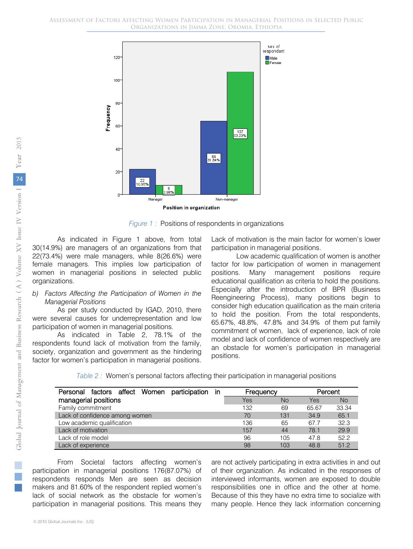



As indicated in Figure 1 above, from total 30(14.9%) are managers of an organizations from that 22(73.4%) were male managers, while 8(26.6%) were female managers. This implies low participation of women in managerial positions in selected public organizations.

#### *b) Factors Affecting the Participation of Women in the Managerial Positions*

As per study conducted by IGAD, 2010, there were several causes for underrepresentation and low participation of women in managerial positions.

As indicated in Table 2, 78.1% of the respondents found lack of motivation from the family, society, organization and government as the hindering factor for women's participation in managerial positions.

Lack of motivation is the main factor for women's lower participation in managerial positions.

Low academic qualification of women is another factor for low participation of women in management positions. Many management positions require educational qualification as criteria to hold the positions. Especially after the introduction of BPR (Business Reengineering Process), many positions begin to consider high education qualification as the main criteria to hold the position. From the total respondents, 65.67%, 48.8%, 47.8% and 34.9% of them put family commitment of women, lack of experience, lack of role model and lack of confidence of women respectively are an obstacle for women's participation in managerial positions.

*Table 2 :* Women's personal factors affecting their participation in managerial positions

| factors affect Women participation in<br>Personal | Frequency |           | Percent |           |
|---------------------------------------------------|-----------|-----------|---------|-----------|
| managerial positions                              | Yes       | <b>No</b> | Yes     | <b>No</b> |
| Family commitment                                 | 132       | 69        | 65.67   | 33.34     |
| Lack of confidence among women                    | 70        | 131       | 34.9    | 65.1      |
| Low academic qualification                        | 136       | 65        | 67.7    | 32.3      |
| Lack of motivation                                | 157       | 44        | 78.1    | 29.9      |
| Lack of role model                                | 96        | 105       | 47.8    | 52.2      |
| Lack of experience                                | 98        | 103       | 48.8    | 51.2      |

From Societal factors affecting women's participation in managerial positions 176(87.07%) of respondents responds Men are seen as decision makers and 81.60% of the respondent replied women's lack of social network as the obstacle for women's participation in managerial positions. This means they

are not actively participating in extra activities in and out of their organization. As indicated in the responses of interviewed informants, women are exposed to double responsibilities one in office and the other at home. Because of this they have no extra time to socialize with many people. Hence they lack information concerning

a.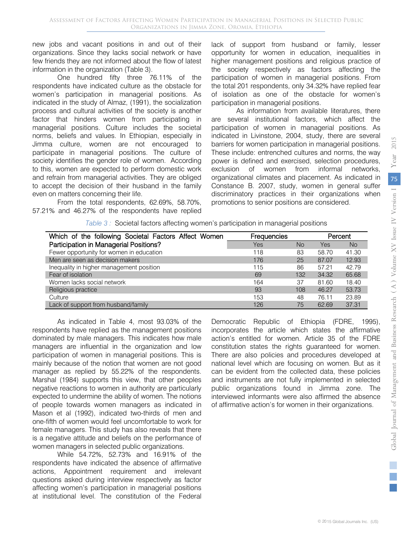new jobs and vacant positions in and out of their organizations. Since they lacks social network or have few friends they are not informed about the flow of latest information in the organization (Table 3).

One hundred fifty three 76.11% of the respondents have indicated culture as the obstacle for women's participation in managerial positions. As indicated in the study of Almaz, (1991), the socialization process and cultural activities of the society is another factor that hinders women from participating in managerial positions. Culture includes the societal norms, beliefs and values. In Ethiopian, especially in Jimma culture, women are not encouraged to participate in managerial positions. The culture of society identifies the gender role of women. According to this, women are expected to perform domestic work and refrain from managerial activities. They are obliged to accept the decision of their husband in the family even on matters concerning their life.

From the total respondents, 62.69%, 58.70%, 57.21% and 46.27% of the respondents have replied lack of support from husband or family, lesser opportunity for women in education, inequalities in higher management positions and religious practice of the society respectively as factors affecting the participation of women in managerial positions. From the total 201 respondents, only 34.32% have replied fear of isolation as one of the obstacle for women's participation in managerial positions.

As information from available literatures, there are several institutional factors, which affect the participation of women in managerial positions. As indicated in Livinstone, 2004, study, there are several barriers for women participation in managerial positions. These include: entrenched cultures and norms, the way power is defined and exercised, selection procedures, exclusion of women from informal networks, organizational climates and placement. As indicated in Constance B. 2007, study, women in general suffer discriminatory practices in their organizations when promotions to senior positions are considered.

| Which of the following Societal Factors Affect Women | Frequencies |     |       | Percent   |
|------------------------------------------------------|-------------|-----|-------|-----------|
| Participation in Managerial Positions?               | <b>Yes</b>  | No. | Yes   | <b>No</b> |
| Fewer opportunity for women in education             | 118         | 83  | 58.70 | 41.30     |
| Men are seen as decision makers                      | 176         | 25  | 87.07 | 12.93     |
| Inequality in higher management position             | 115         | 86  | 57.21 | 42.79     |
| Fear of isolation                                    | 69          | 132 | 34.32 | 65.68     |
| Women lacks social network                           | 164         | 37  | 81.60 | 18.40     |
| Religious practice                                   | 93          | 108 | 46.27 | 53.73     |
| Culture                                              | 153         | 48  | 76.11 | 23.89     |
| Lack of support from husband/family                  | 126         | 75  | 62.69 | 37.31     |

*Table 3 :* Societal factors affecting women's participation in managerial positions

As indicated in Table 4, most 93.03% of the respondents have replied as the management positions dominated by male managers. This indicates how male managers are influential in the organization and low participation of women in managerial positions. This is mainly because of the notion that women are not good manager as replied by 55.22% of the respondents. Marshal (1984) supports this view, that other peoples negative reactions to women in authority are particularly expected to undermine the ability of women. The notions of people towards women managers as indicated in Mason et al (1992), indicated two-thirds of men and one-fifth of women would feel uncomfortable to work for female managers. This study has also reveals that there is a negative attitude and beliefs on the performance of women managers in selected public organizations.

While 54.72%, 52.73% and 16.91% of the respondents have indicated the absence of affirmative actions, Appointment requirement and irrelevant questions asked during interview respectively as factor affecting women's participation in managerial positions at institutional level. The constitution of the Federal

Democratic Republic of Ethiopia (FDRE, 1995), incorporates the article which states the affirmative action's entitled for women. Article 35 of the FDRE constitution states the rights guaranteed for women. There are also policies and procedures developed at national level which are focusing on women. But as it can be evident from the collected data, these policies and instruments are not fully implemented in selected public organizations found in Jimma zone. The interviewed informants were also affirmed the absence of affirmative action's for women in their organizations.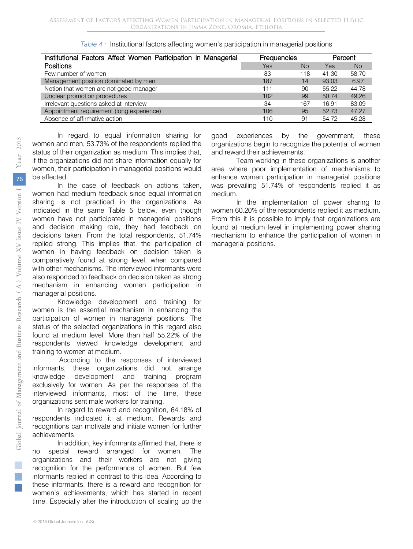| Institutional Factors Affect Women Participation in Managerial | Frequencies     | Percent   |       |           |
|----------------------------------------------------------------|-----------------|-----------|-------|-----------|
| <b>Positions</b>                                               | Yes             | <b>No</b> | Yes   | <b>No</b> |
| Few number of women                                            | 83              | 118       | 41.30 | 58.70     |
| Management position dominated by men                           | 187             | 14        | 93.03 | 6.97      |
| Notion that women are not good manager                         | 111             | 90        | 55.22 | 44.78     |
| Unclear promotion procedures                                   | 10 <sub>2</sub> | 99        | 50.74 | 49.26     |
| Irrelevant questions asked at interview                        | 34              | 167       | 16.91 | 83.09     |
| Appointment requirement (long experience)                      | 106             | 95        | 52.73 | 47.27     |
| Absence of affirmative action                                  | 110             | 91        | 54.72 | 45.28     |

|  |  | Table 4: Institutional factors affecting women's participation in managerial positions |
|--|--|----------------------------------------------------------------------------------------|
|  |  |                                                                                        |

In regard to equal information sharing for women and men, 53.73% of the respondents replied the status of their organization as medium. This implies that, if the organizations did not share information equally for women, their participation in managerial positions would be affected.

In the case of feedback on actions taken, women had medium feedback since equal information sharing is not practiced in the organizations. As indicated in the same Table 5 below, even though women have not participated in managerial positions and decision making role, they had feedback on decisions taken. From the total respondents, 51.74% replied strong. This implies that, the participation of women in having feedback on decision taken is comparatively found at strong level, when compared with other mechanisms. The interviewed informants were also responded to feedback on decision taken as strong mechanism in enhancing women participation in managerial positions.

Knowledge development and training for women is the essential mechanism in enhancing the participation of women in managerial positions. The status of the selected organizations in this regard also found at medium level. More than half 55.22% of the respondents viewed knowledge development and training to women at medium.

According to the responses of interviewed informants, these organizations did not arrange knowledge development and training program exclusively for women. As per the responses of the interviewed informants, most of the time, these organizations sent male workers for training.

In regard to reward and recognition, 64.18% of respondents indicated it at medium. Rewards and recognitions can motivate and initiate women for further achievements.

In addition, key informants affirmed that, there is no special reward arranged for women. The organizations and their workers are not giving recognition for the performance of women. But few informants replied in contrast to this idea. According to these informants, there is a reward and recognition for women's achievements, which has started in recent time. Especially after the introduction of scaling up the good experiences by the government, these organizations begin to recognize the potential of women and reward their achievements.

Team working in these organizations is another area where poor implementation of mechanisms to enhance women participation in managerial positions was prevailing 51.74% of respondents replied it as medium.

In the implementation of power sharing to women 60.20% of the respondents replied it as medium. From this it is possible to imply that organizations are found at medium level in implementing power sharing mechanism to enhance the participation of women in managerial positions.

a.  $\mathbb{R}^3$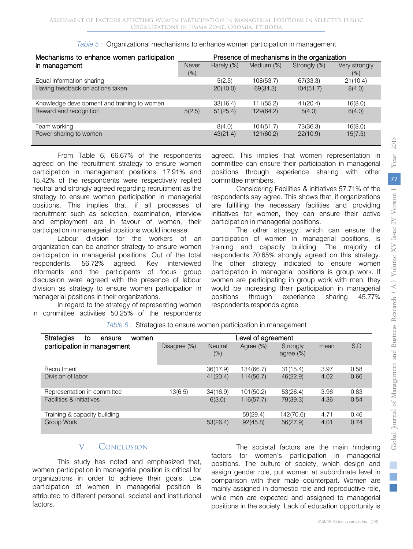| Mechanisms to enhance women participation   | Presence of mechanisms in the organization |            |            |              |                         |  |
|---------------------------------------------|--------------------------------------------|------------|------------|--------------|-------------------------|--|
| in management                               | Never<br>$(\%)$                            | Rarely (%) | Medium (%) | Strongly (%) | Very strongly<br>$(\%)$ |  |
| Equal information sharing                   |                                            | 5(2.5)     | 108(53.7)  | 67(33.3)     | 21(10.4)                |  |
| Having feedback on actions taken            |                                            | 20(10.0)   | 69(34.3)   | 104(51.7)    | 8(4.0)                  |  |
| Knowledge development and training to women |                                            | 33(16.4)   | 111(55.2)  | 41(20.4)     | 16(8.0)                 |  |
| Reward and recognition                      | 5(2.5)                                     | 51(25.4)   | 129(64.2)  | 8(4.0)       | 8(4.0)                  |  |
| Team working                                |                                            | 8(4.0)     | 104(51.7)  | 73(36.3)     | 16(8.0)                 |  |
| Power sharing to women                      |                                            | 43(21.4)   | 121(60.2)  | 22(10.9)     | 15(7.5)                 |  |

|  |  | Table 5: Organizational mechanisms to enhance women participation in management |
|--|--|---------------------------------------------------------------------------------|
|  |  |                                                                                 |
|  |  |                                                                                 |

From Table 6, 66.67% of the respondents agreed on the recruitment strategy to ensure women participation in management positions. 17.91% and 15.42% of the respondents were respectively replied neutral and strongly agreed regarding recruitment as the strategy to ensure women participation in managerial positions. This implies that, if all processes of recruitment such as selection, examination, interview and employment are in favour of women, their participation in managerial positions would increase.

Labour division for the workers of an organization can be another strategy to ensure women participation in managerial positions. Out of the total respondents, 56.72% agreed. Key interviewed informants and the participants of focus group discussion were agreed with the presence of labour division as strategy to ensure women participation in managerial positions in their organizations.

In regard to the strategy of representing women in committee activities 50.25% of the respondents

agreed. This implies that women representation in committee can ensure their participation in managerial positions through experience sharing with other committee members.

Considering Facilities & initiatives 57.71% of the respondents say agree. This shows that, if organizations are fulfilling the necessary facilities and providing initiatives for women, they can ensure their active participation in managerial positions.

The other strategy, which can ensure the participation of women in managerial positions, is training and capacity building. The majority of respondents 70.65% strongly agreed on this strategy. The other strategy indicated to ensure women participation in managerial positions is group work. If women are participating in group work with men, they would be increasing their participation in managerial positions through experience sharing 45.77% respondents responds agree.

| <b>Strategies</b><br>to<br>ensure<br>women | Level of agreement |                          |           |                          |      |      |  |
|--------------------------------------------|--------------------|--------------------------|-----------|--------------------------|------|------|--|
| participation in management                | Disagree (%)       | <b>Neutral</b><br>$(\%)$ | Agree (%) | Strongly<br>agree $(\%)$ | mean | S.D  |  |
| Recruitment                                |                    | 36(17.9)                 | 134(66.7) | 31(15.4)                 | 3.97 | 0.58 |  |
| Division of labor                          |                    | 41(20.4)                 | 114(56.7) | 46(22.9)                 | 4.02 | 0.66 |  |
| Representation in committee                | 13(6.5)            | 34(16.9)                 | 101(50.2) | 53(26.4)                 | 3.96 | 0.83 |  |
| Facilities & initiatives                   |                    | 6(3.0)                   | 116(57.7) | 79(39.3)                 | 4.36 | 0.54 |  |
| Training & capacity building               |                    |                          | 59(29.4)  | 142(70.6)                | 4.71 | 0.46 |  |
| Group Work                                 |                    | 53(26.4)                 | 92(45.8)  | 56(27.9)                 | 4.01 | 0.74 |  |

*Table 6 :* Strategies to ensure women participation in management

#### V. Conclusion

This study has noted and emphasized that, women participation in managerial position is critical for organizations in order to achieve their goals. Low participation of women in managerial position is attributed to different personal, societal and institutional factors.

The societal factors are the main hindering factors for women's participation in managerial positions. The culture of society, which design and assign gender role, put women at subordinate level in comparison with their male counterpart. Women are mainly assigned in domestic role and reproductive role, while men are expected and assigned to managerial positions in the society. Lack of education opportunity is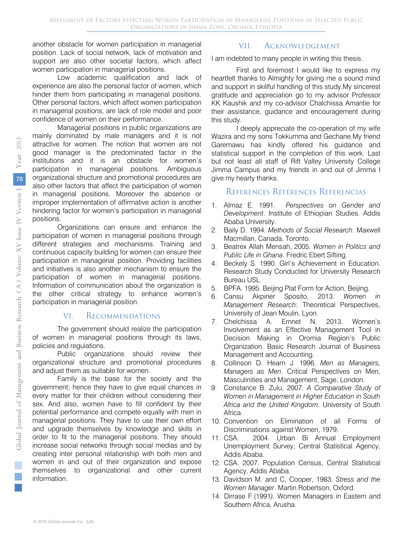another obstacle for women participation in managerial position. Lack of social network, lack of motivation and support are also other societal factors, which affect women participation in managerial positions.

Low academic qualification and lack of experience are also the personal factor of women, which hinder them from participating in managerial positions. Other personal factors, which affect women participation in managerial positions, are lack of role model and poor confidence of women on their performance.

Managerial positions in public organizations are mainly dominated by male managers and it is not attractive for women. The notion that women are not good manager is the predominated factor in the institutions and it is an obstacle for women's participation in managerial positions. Ambiguous organizational structure and promotional procedures are also other factors that affect the participation of women in managerial positions. Moreover the absence or improper implementation of affirmative action is another hindering factor for women's participation in managerial positions.

Organizations can ensure and enhance the participation of women in managerial positions through different strategies and mechanisms. Training and continuous capacity building for women can ensure their participation in managerial position. Providing facilities and initiatives is also another mechanism to ensure the participation of women in managerial positions. Information of communication about the organization is the other critical strategy to enhance women's participation in managerial position.

#### VI. Recommendations

The government should realize the participation of women in managerial positions through its laws, policies and regulations.

Public organizations should review their organizational structure and promotional procedures and adjust them as suitable for women.

Family is the base for the society and the government; hence they have to give equal chances in every matter for their children without considering their sex. And also, women have to fill confident by their potential performance and compete equally with men in managerial positions. They have to use their own effort and upgrade themselves by knowledge and skills in order to fit to the managerial positions. They should increase social networks through social medias and by creating inter personal relationship with both men and women in and out of their organization and expose themselves to organizational and other current information.

#### VII. Acknowledgement

I am indebted to many people in writing this thesis.

First and foremost I would like to express my heartfelt thanks to Almighty for giving me a sound mind and support in skillful handling of this study.My sincerest gratitude and appreciation go to my advisor Professor KK Kaushik and my co-advisor Chalchissa Amantie for their assistance, guidance and encouragement during this study.

I deeply appreciate the co-operation of my wife Wazira and my sons Tokkumma and Gechane.My friend Garemawu has kindly offered his guidance and statistical support in the completion of this work. Last but not least all staff of Rift Valley University College Jimma Campus and my friends in and out of Jimma I give my hearty thanks.

#### References Références Referencias

- 1. Almaz E. 1991. *Perspectives on Gender and Development*. Institute of Ethiopian Studies. Addis Ababa University.
- 2. Baily D. 1994. *Methods of Social Research*. Maxwell Macmillan, Canada, Toronto.
- 3. Beatrex Allah Mensah, 2005*. Women in Politics and Public Life in Ghana*. Fredric Ebert Sifting.
- 4. Beckely S. 1990. Girl's Achievement in Education. Research Study Conducted for University Research Bureau USL.
- 5. BPFA. 1995. Beijing Plat Form for Action, Beijing.
- 6. Cansu Akpiner Sposito, 2013. *Women in Management Research*: Theoretical Perspectives, University of Jean Moulin, Lyon.
- 7. Chelchissa A. Emnet N. 2013. Women's Involvement as an Effective Management Tool in Decision Making in Oromia Region's Public Organization. Basic Research Journal of Business Management and Accounting.
- 8. Collinson D. Hearn J. 1996. *Men as Managers, Managers as Men*. Critical Perspectives on Men, Masculinities and Management, Sage, London.
- 9. Constance B. Zulu, 2007. *A Comparative Study of Women in Management in Higher Education in South Africa and the United Kingdom*. University of South Africa.
- 10. Convention on Elimination of all Forms of Discriminations against Women, 1979.
- 11. CSA. 2004. Urban Bi Annual Employment Unemployment Survey, Central Statistical Agency, Addis Ababa.
- 12. CSA. 2007. Population Census, Central Statistical Agency, Addis Ababa.
- 13. Davidson M. and C, Cooper, 1983. *Stress and the Women Manager*. Martin Robertson, Oxford.
- 14. Dirrase F.(1991*).* Women Managers in Eastern and Southern Africa, Arusha.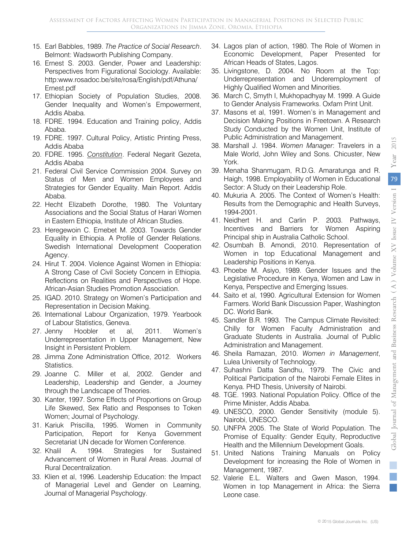- 15. Earl Babbles, 1989. *The Practice of Social Research*. Belmont: Wadsworth Publishing Company.
- 16. Ernest S. 2003. Gender, Power and Leadership: Perspectives from Figurational Sociology. Available: http:www.rosadoc.be/site/rosa/English/pdf/Athuna/ Ernest.pdf
- 17. Ethiopian Society of Population Studies, 2008. Gender Inequality and Women's Empowerment, Addis Ababa.
- 18. FDRE. 1994. Education and Training policy, Addis Ababa.
- 19. FDRE. 1997. Cultural Policy, Artistic Printing Press, Addis Ababa
- 20. FDRE. 1995. *Constitution* . Federal Negarit Gezeta, Addis Ababa
- 21. Federal Civil Service Commission 2004. Survey on Status of Men and Women Employees and Strategies for Gender Equality. Main Report. Addis Ababa.
- 22. Hecht Elizabeth Dorothe, 1980. The Voluntary Associations and the Social Status of Harari Women in Eastern Ethiopia, Institute of African Studies.
- 23. Heregewoin C. Emebet M. 2003. Towards Gender Equality in Ethiopia. A Profile of Gender Relations. Swedish International Development Cooperation Agency.
- 24. Hirut T. 2004. Violence Against Women in Ethiopia: A Strong Case of Civil Society Concern in Ethiopia. Reflections on Realities and Perspectives of Hope. African-Asian Studies Promotion Association.
- 25. IGAD. 2010. Strategy on Women's Participation and Representation in Decision Making.
- 26. International Labour Organization, 1979. Yearbook of Labour Statistics, Geneva.
- 27. Jenny Hoobler et al, 2011. Women's Underrepresentation in Upper Management, New Insight in Persistent Problem.
- 28. Jimma Zone Administration Office, 2012. Workers Statistics.
- 29. Joanne C. Miller et al, 2002. Gender and Leadership, Leadership and Gender, a Journey through the Landscape of Theories.
- 30. Kanter, 1997. Some Effects of Proportions on Group Life Skewed, Sex Ratio and Responses to Token Women; Journal of Psychology.
- 31. Kariuk Priscilla, 1995. Women in Community Participation, Report for Kenya Government Secretariat UN decade for Women Conference.
- 32. Khalil A. 1994. Strategies for Sustained Advancement of Women in Rural Areas. Journal of Rural Decentralization.
- 33. Klien et al, 1996. Leadership Education: the Impact of Managerial Level and Gender on Learning, Journal of Managerial Psychology.
- 34. Lagos plan of action, 1980. The Role of Women in Economic Development, Paper Presented for African Heads of States, Lagos.
- 35. Livingstone, D. 2004. No Room at the Top: Underrepresentation and Underemployment of Highly Qualified Women and Minorities.
- 36. March C, Smyth I, Mukhopadhyay M. 1999. A Guide to Gender Analysis Frameworks. Oxfam Print Unit.
- 37. Masons et al, 1991. Women's in Management and Decision Making Positions in Freetown. A Research Study Conducted by the Women Unit, Institute of Public Administration and Management.
- 38. Marshall J. 1984. *Women Manager*: Travelers in a Male World, John Wiley and Sons. Chicuster, New York.
- 39. Menaha Shanmugam, R.D.G. Amaratunga and R. Haigh, 1998. Employability of Women in Educational Sector: A Study on their Leadership Role.
- 40. Mukuria A. 2005. The Context of Women's Health: Results from the Demographic and Health Surveys, 1994-2001.
- 41. Neidhert H. and Carlin P. 2003. Pathways, Incentives and Barriers for Women Aspiring Principal ship in Australia Catholic School.
- 42. Osumbah B. Amondi, 2010. Representation of Women in top Educational Management and Leadership Positions in Kenya.
- 43. Phoebe M. Asiyo, 1989. Gender Issues and the Legislative Procedure in Kenya, Women and Law in Kenya, Perspective and Emerging Issues.
- 44. Saito et al, 1990. Agricultural Extension for Women Farmers. World Bank Discussion Paper, Washington DC. World Bank.
- 45. Sandler B.R. 1993. The Campus Climate Revisited: Chilly for Women Faculty Administration and Graduate Students in Australia. Journal of Public Administration and Management.
- 46. Sheila Ramazan, 2010. *Women in Management*, Lulea University of Technology.
- 47. Suhashni Datta Sandhu, 1979. The Civic and Political Participation of the Nairobi Female Elites in Kenya. PHD Thesis, University of Nairobi.
- 48. TGE. 1993. National Population Policy. Office of the Prime Minister, Addis Ababa.
- 49. UNESCO, 2000. Gender Sensitivity (module 5). Nairobi, UNESCO.
- 50. UNFPA 2005. The State of World Population. The Promise of Equality: Gender Equity, Reproductive Health and the Millennium Development Goals.
- 51. United Nations Training Manuals on Policy Development for increasing the Role of Women in Management, 1987.
- 52. Valerie E.L. Walters and Gwen Mason, 1994. Women in top Management in Africa: the Sierra Leone case.